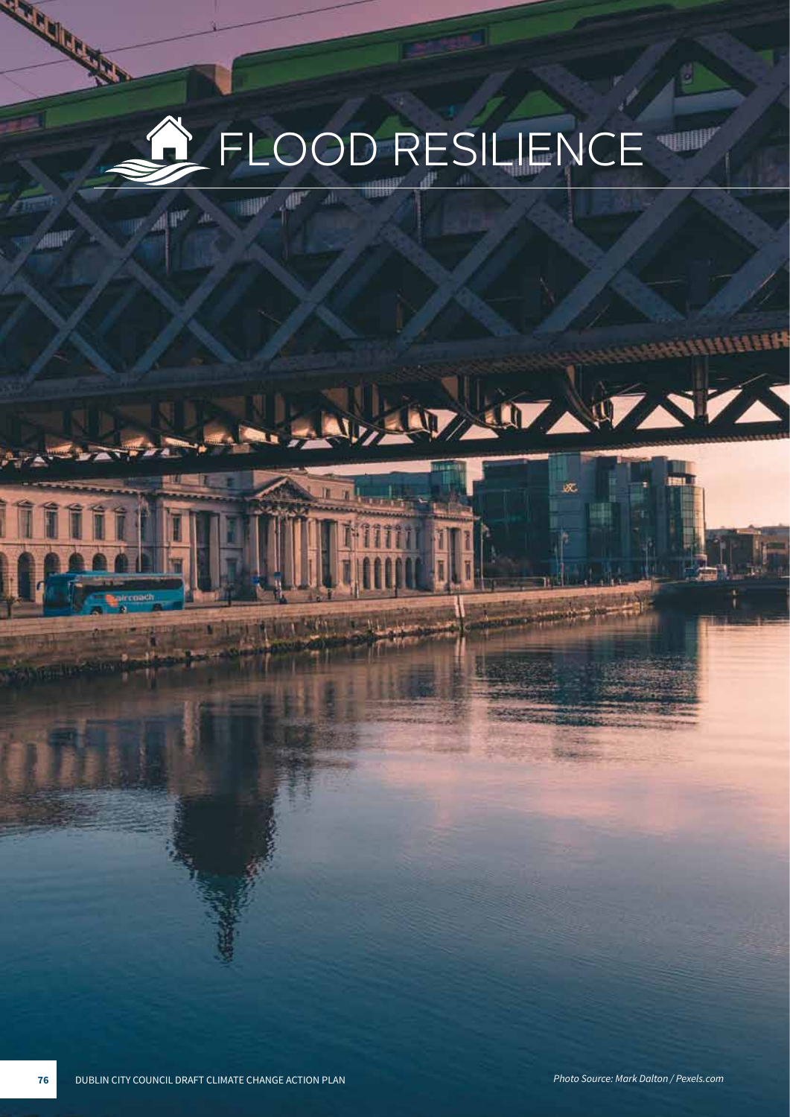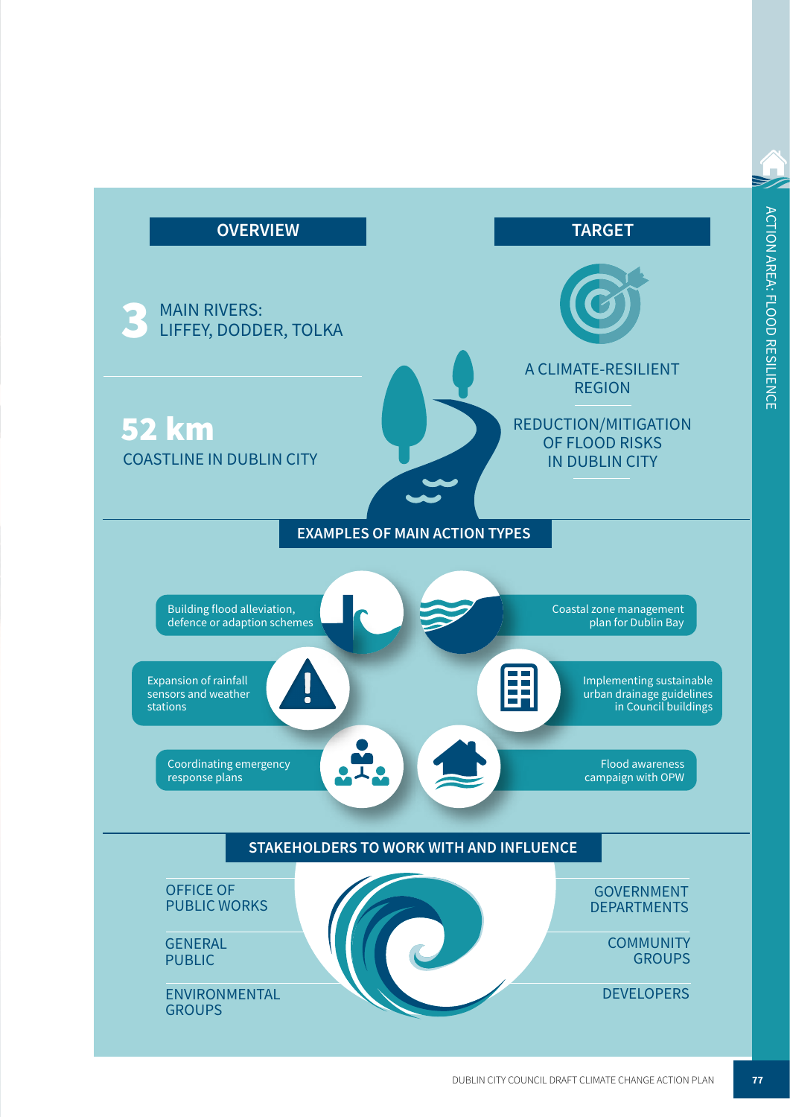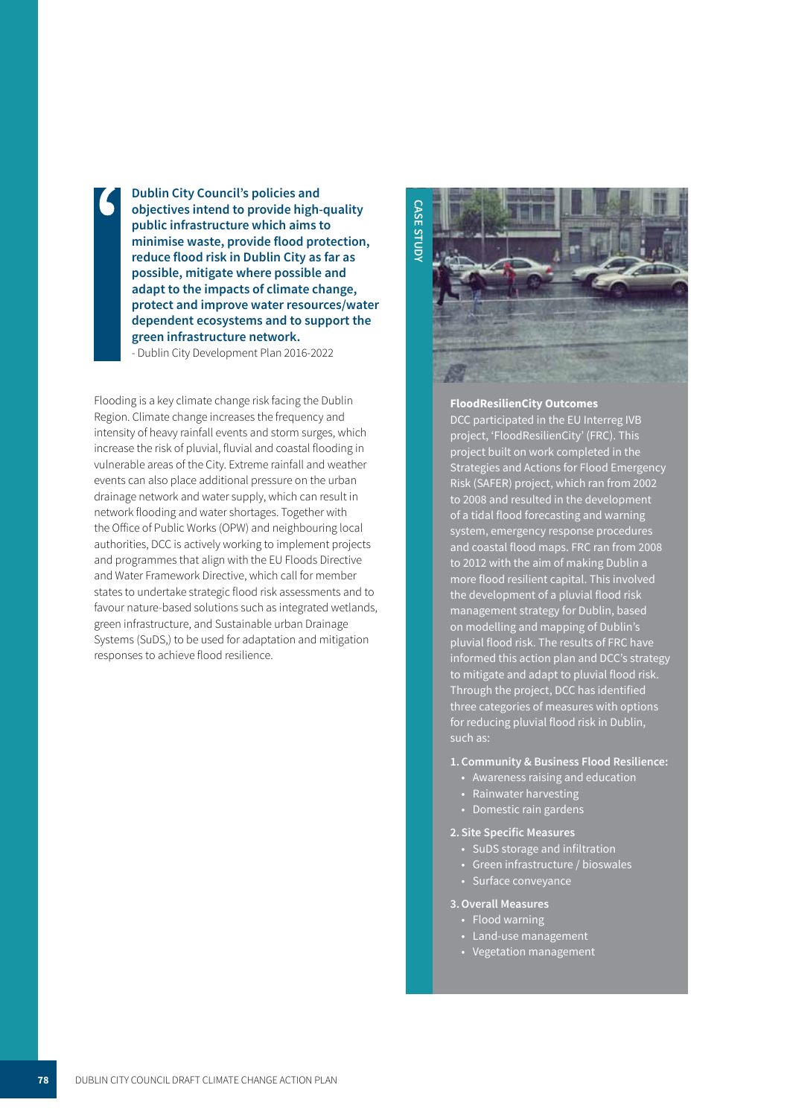**Dublin City Council's policies and**  Dublin City Council's policies and<br>objectives intend to provide high-quality **public infrastructure which aims to minimise waste, provide flood protection, reduce flood risk in Dublin City as far as possible, mitigate where possible and adapt to the impacts of climate change, protect and improve water resources/water dependent ecosystems and to support the green infrastructure network.** - Dublin City Development Plan 2016-2022

Flooding is a key climate change risk facing the Dublin Region. Climate change increases the frequency and intensity of heavy rainfall events and storm surges, which increase the risk of pluvial, fluvial and coastal flooding in vulnerable areas of the City. Extreme rainfall and weather events can also place additional pressure on the urban drainage network and water supply, which can result in network flooding and water shortages. Together with the Office of Public Works (OPW) and neighbouring local authorities, DCC is actively working to implement projects and programmes that align with the EU Floods Directive and Water Framework Directive, which call for member states to undertake strategic flood risk assessments and to favour nature-based solutions such as integrated wetlands, green infrastructure, and Sustainable urban Drainage Systems (SuDS,) to be used for adaptation and mitigation responses to achieve flood resilience.



### **FloodResilienCity Outcomes**

DCC participated in the EU Interreg IVB project, 'FloodResilienCity' (FRC). This project built on work completed in the Strategies and Actions for Flood Emergency Risk (SAFER) project, which ran from 2002 to 2008 and resulted in the development of a tidal flood forecasting and warning system, emergency response procedures and coastal flood maps. FRC ran from 2008 to 2012 with the aim of making Dublin a more flood resilient capital. This involved the development of a pluvial flood risk management strategy for Dublin, based on modelling and mapping of Dublin's pluvial flood risk. The results of FRC have informed this action plan and DCC's strategy to mitigate and adapt to pluvial flood risk. Through the project, DCC has identified three categories of measures with options for reducing pluvial flood risk in Dublin, such as:

#### **1. Community & Business Flood Resilience:**

- Awareness raising and education
- Rainwater harvesting
- Domestic rain gardens
- **2. Site Specific Measures**
	- SuDS storage and infiltration
	- Green infrastructure / bioswales
	- Surface conveyance

#### **3.Overall Measures**

- Flood warning
- Land-use management
- Vegetation management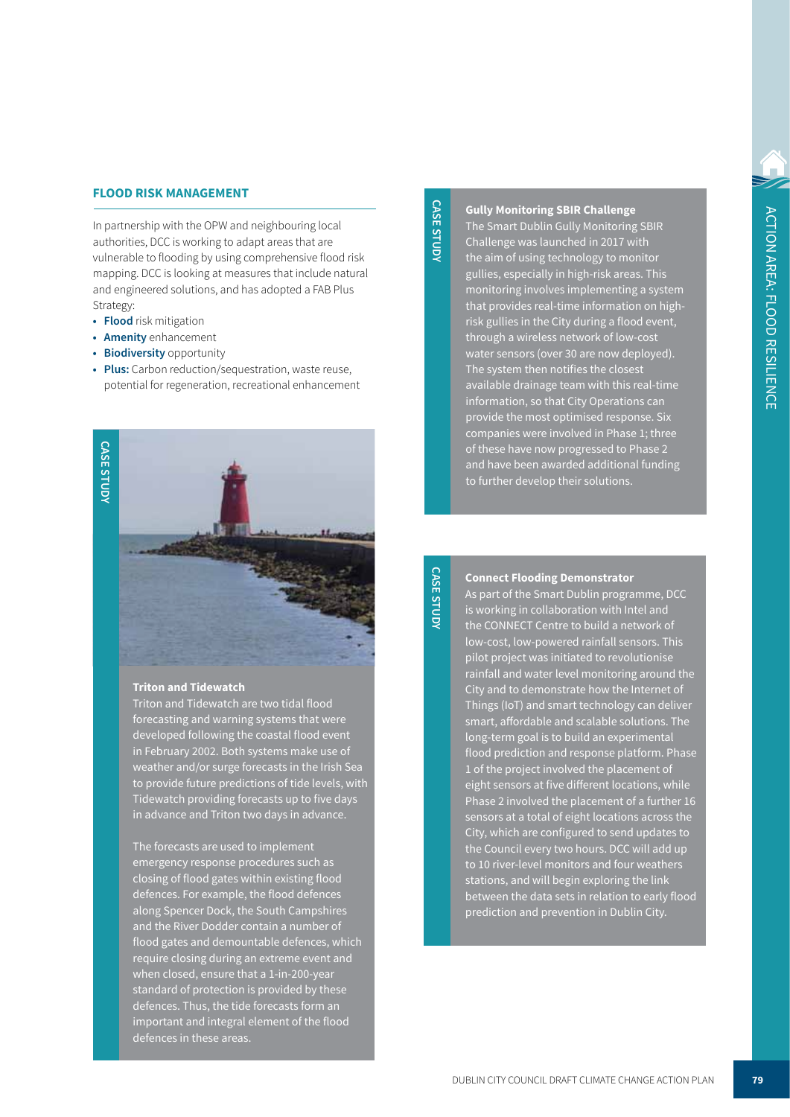### **FLOOD RISK MANAGEMENT**

In partnership with the OPW and neighbouring local authorities, DCC is working to adapt areas that are vulnerable to flooding by using comprehensive flood risk mapping. DCC is looking at measures that include natural and engineered solutions, and has adopted a FAB Plus Strategy:

- **• Flood** risk mitigation
- **• Amenity** enhancement
- **• Biodiversity** opportunity
- **• Plus:** Carbon reduction/sequestration, waste reuse, potential for regeneration, recreational enhancement



#### **Triton and Tidewatch**

Triton and Tidewatch are two tidal flood forecasting and warning systems that were developed following the coastal flood event in February 2002. Both systems make use of weather and/or surge forecasts in the Irish Sea to provide future predictions of tide levels, with Tidewatch providing forecasts up to five days in advance and Triton two days in advance.

The forecasts are used to implement emergency response procedures such as closing of flood gates within existing flood defences. For example, the flood defences along Spencer Dock, the South Campshires and the River Dodder contain a number of flood gates and demountable defences, which require closing during an extreme event and when closed, ensure that a 1-in-200-year standard of protection is provided by these defences. Thus, the tide forecasts form an important and integral element of the flood defences in these areas.

# **CASE STUDY CASE STUDY**

**Gully Monitoring SBIR Challenge** The Smart Dublin Gully Monitoring SBIR Challenge was launched in 2017 with the aim of using technology to monitor gullies, especially in high-risk areas. This monitoring involves implementing a system that provides real-time information on highrisk gullies in the City during a flood event, through a wireless network of low-cost water sensors (over 30 are now deployed). The system then notifies the closest available drainage team with this real-time information, so that City Operations can provide the most optimised response. Six companies were involved in Phase 1; three of these have now progressed to Phase 2 and have been awarded additional funding to further develop their solutions.

**CASE STUDY CASE STUDY**

#### **Connect Flooding Demonstrator**

As part of the Smart Dublin programme, DCC is working in collaboration with Intel and the CONNECT Centre to build a network of low-cost, low-powered rainfall sensors. This pilot project was initiated to revolutionise rainfall and water level monitoring around the City and to demonstrate how the Internet of Things (IoT) and smart technology can deliver smart, affordable and scalable solutions. The long-term goal is to build an experimental flood prediction and response platform. Phase 1 of the project involved the placement of eight sensors at five different locations, while Phase 2 involved the placement of a further 16 sensors at a total of eight locations across the City, which are configured to send updates to the Council every two hours. DCC will add up to 10 river-level monitors and four weathers stations, and will begin exploring the link between the data sets in relation to early flood prediction and prevention in Dublin City.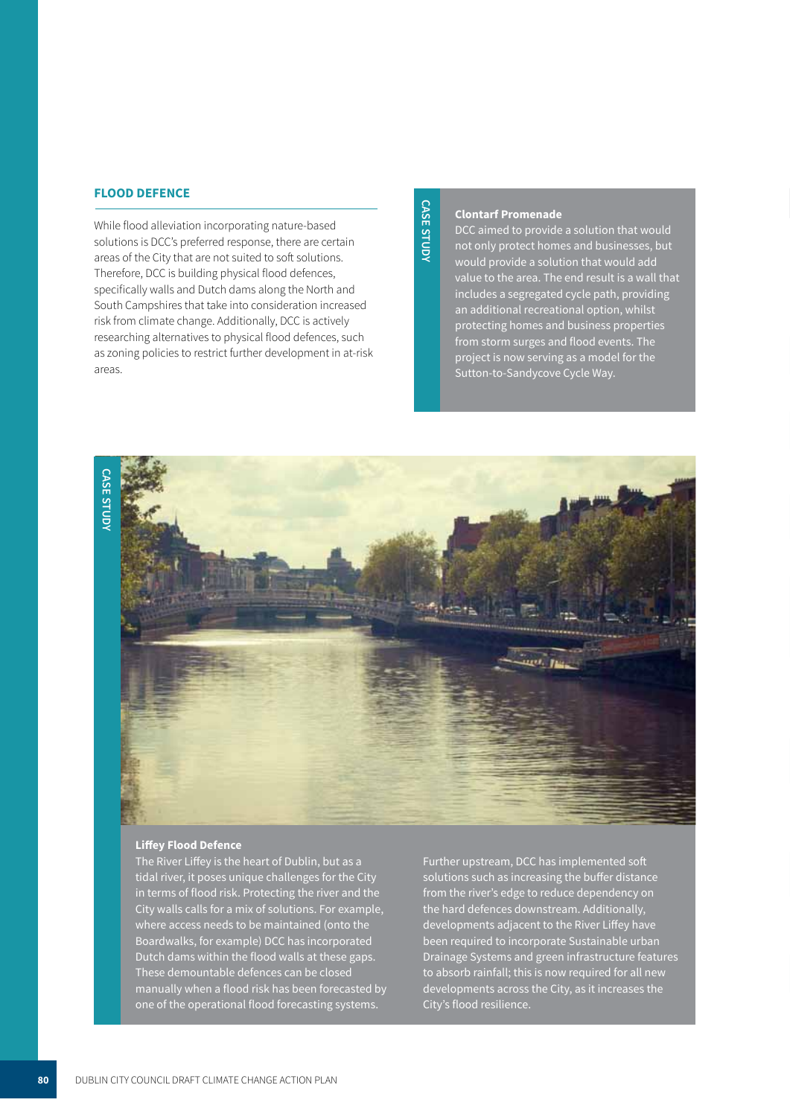#### **FLOOD DEFENCE**

While flood alleviation incorporating nature-based solutions is DCC's preferred response, there are certain areas of the City that are not suited to soft solutions. Therefore, DCC is building physical flood defences, specifically walls and Dutch dams along the North and South Campshires that take into consideration increased risk from climate change. Additionally, DCC is actively researching alternatives to physical flood defences, such as zoning policies to restrict further development in at-risk areas.

# **CASE STUDY CASE STUDY**

#### **Clontarf Promenade**

DCC aimed to provide a solution that would not only protect homes and businesses, but would provide a solution that would add value to the area. The end result is a wall that includes a segregated cycle path, providing an additional recreational option, whilst protecting homes and business properties from storm surges and flood events. The project is now serving as a model for the Sutton-to-Sandycove Cycle Way.



#### **Liffey Flood Defence**

The River Liffey is the heart of Dublin, but as a tidal river, it poses unique challenges for the City in terms of flood risk. Protecting the river and the City walls calls for a mix of solutions. For example, where access needs to be maintained (onto the Boardwalks, for example) DCC has incorporated Dutch dams within the flood walls at these gaps. These demountable defences can be closed manually when a flood risk has been forecasted by one of the operational flood forecasting systems.

Further upstream, DCC has implemented soft solutions such as increasing the buffer distance from the river's edge to reduce dependency on the hard defences downstream. Additionally, developments adjacent to the River Liffey have been required to incorporate Sustainable urban Drainage Systems and green infrastructure features to absorb rainfall; this is now required for all new developments across the City, as it increases the City's flood resilience.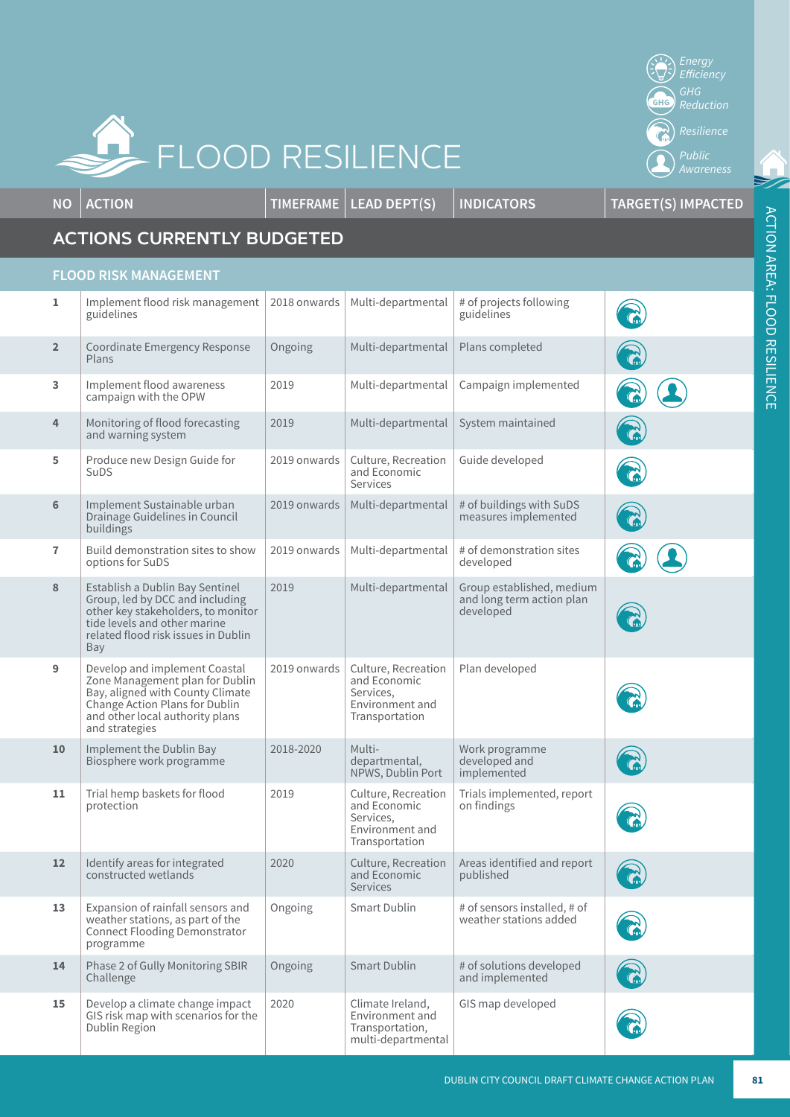

*Energy*  **Efficiency**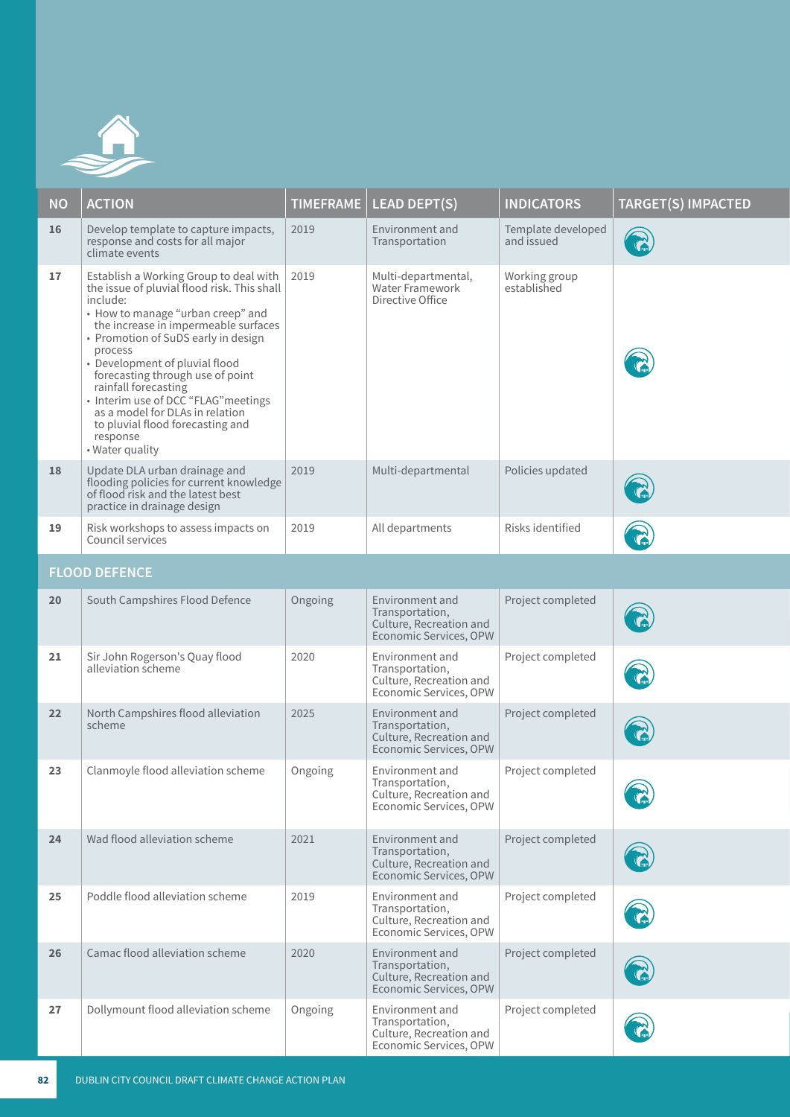

| <b>NO</b>            | <b>ACTION</b>                                                                                                                                                                                                                                                                                                                                                                                                                                                                | <b>TIMEFRAME</b> | <b>LEAD DEPT(S)</b>                                                                     | <b>INDICATORS</b>                | <b>TARGET(S) IMPACTED</b> |  |
|----------------------|------------------------------------------------------------------------------------------------------------------------------------------------------------------------------------------------------------------------------------------------------------------------------------------------------------------------------------------------------------------------------------------------------------------------------------------------------------------------------|------------------|-----------------------------------------------------------------------------------------|----------------------------------|---------------------------|--|
| 16                   | Develop template to capture impacts,<br>response and costs for all major<br>climate events                                                                                                                                                                                                                                                                                                                                                                                   | 2019             | Environment and<br>Transportation                                                       | Template developed<br>and issued |                           |  |
| 17                   | Establish a Working Group to deal with<br>the issue of pluvial flood risk. This shall<br>include:<br>• How to manage "urban creep" and<br>the increase in impermeable surfaces<br>• Promotion of SuDS early in design<br>process<br>• Development of pluvial flood<br>forecasting through use of point<br>rainfall forecasting<br>• Interim use of DCC "FLAG" meetings<br>as a model for DLAs in relation<br>to pluvial flood forecasting and<br>response<br>• Water quality | 2019             | Multi-departmental,<br>Water Framework<br>Directive Office                              | Working group<br>established     |                           |  |
| 18                   | Update DLA urban drainage and<br>flooding policies for current knowledge<br>of flood risk and the latest best<br>practice in drainage design                                                                                                                                                                                                                                                                                                                                 | 2019             | Multi-departmental                                                                      | Policies updated                 |                           |  |
| 19                   | Risk workshops to assess impacts on<br>Council services                                                                                                                                                                                                                                                                                                                                                                                                                      | 2019             | All departments                                                                         | Risks identified                 |                           |  |
| <b>FLOOD DEFENCE</b> |                                                                                                                                                                                                                                                                                                                                                                                                                                                                              |                  |                                                                                         |                                  |                           |  |
| 20                   | South Campshires Flood Defence                                                                                                                                                                                                                                                                                                                                                                                                                                               | Ongoing          | Environment and<br>Transportation,<br>Culture, Recreation and<br>Economic Services, OPW | Project completed                |                           |  |
| 21                   | Sir John Rogerson's Quay flood<br>alleviation scheme                                                                                                                                                                                                                                                                                                                                                                                                                         | 2020             | Environment and<br>Transportation,<br>Culture, Recreation and<br>Economic Services, OPW | Project completed                |                           |  |
| 22                   | North Campshires flood alleviation<br>scheme                                                                                                                                                                                                                                                                                                                                                                                                                                 | 2025             | Environment and<br>Transportation,<br>Culture, Recreation and<br>Economic Services, OPW | Project completed                |                           |  |
| 23                   | Clanmoyle flood alleviation scheme                                                                                                                                                                                                                                                                                                                                                                                                                                           | Ongoing          | Environment and<br>Transportation,<br>Culture, Recreation and<br>Economic Services, OPW | Project completed                | $\curvearrowright$        |  |
| 24                   | Wad flood alleviation scheme                                                                                                                                                                                                                                                                                                                                                                                                                                                 | 2021             | Environment and<br>Transportation,<br>Culture, Recreation and<br>Economic Services, OPW | Project completed                |                           |  |
| 25                   | Poddle flood alleviation scheme                                                                                                                                                                                                                                                                                                                                                                                                                                              | 2019             | Environment and<br>Transportation,<br>Culture, Recreation and<br>Economic Services, OPW | Project completed                |                           |  |
| 26                   | Camac flood alleviation scheme                                                                                                                                                                                                                                                                                                                                                                                                                                               | 2020             | Environment and<br>Transportation,<br>Culture, Recreation and<br>Economic Services, OPW | Project completed                |                           |  |
| 27                   | Dollymount flood alleviation scheme                                                                                                                                                                                                                                                                                                                                                                                                                                          | Ongoing          | Environment and<br>Transportation,<br>Culture, Recreation and<br>Economic Services, OPW | Project completed                |                           |  |